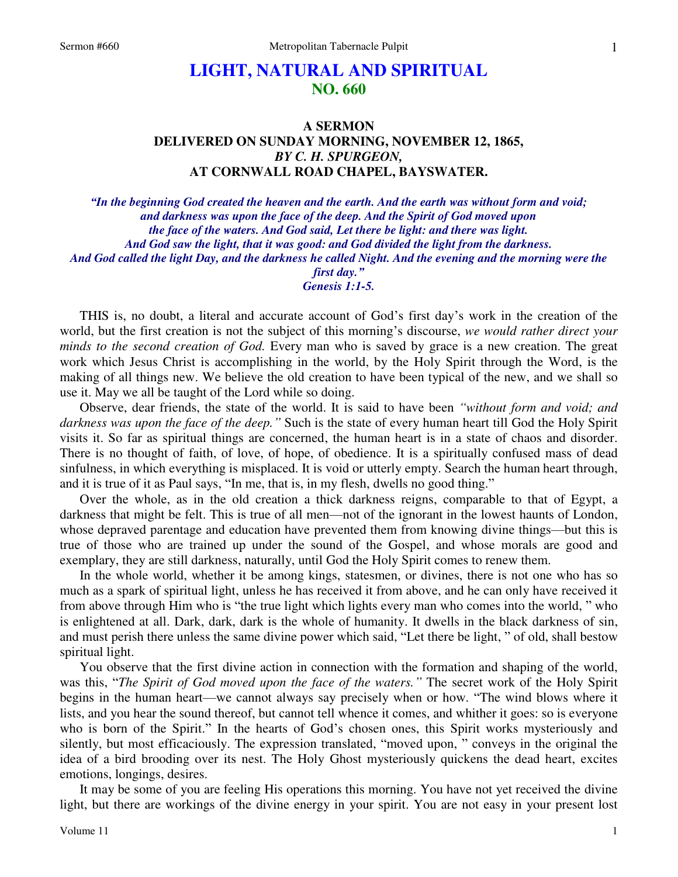# **LIGHT, NATURAL AND SPIRITUAL NO. 660**

## **A SERMON DELIVERED ON SUNDAY MORNING, NOVEMBER 12, 1865,**  *BY C. H. SPURGEON,*  **AT CORNWALL ROAD CHAPEL, BAYSWATER.**

*"In the beginning God created the heaven and the earth. And the earth was without form and void; and darkness was upon the face of the deep. And the Spirit of God moved upon the face of the waters. And God said, Let there be light: and there was light. And God saw the light, that it was good: and God divided the light from the darkness. And God called the light Day, and the darkness he called Night. And the evening and the morning were the first day." Genesis 1:1-5.* 

 THIS is, no doubt, a literal and accurate account of God's first day's work in the creation of the world, but the first creation is not the subject of this morning's discourse, *we would rather direct your minds to the second creation of God.* Every man who is saved by grace is a new creation. The great work which Jesus Christ is accomplishing in the world, by the Holy Spirit through the Word, is the making of all things new. We believe the old creation to have been typical of the new, and we shall so use it. May we all be taught of the Lord while so doing.

 Observe, dear friends, the state of the world. It is said to have been *"without form and void; and darkness was upon the face of the deep."* Such is the state of every human heart till God the Holy Spirit visits it. So far as spiritual things are concerned, the human heart is in a state of chaos and disorder. There is no thought of faith, of love, of hope, of obedience. It is a spiritually confused mass of dead sinfulness, in which everything is misplaced. It is void or utterly empty. Search the human heart through, and it is true of it as Paul says, "In me, that is, in my flesh, dwells no good thing."

 Over the whole, as in the old creation a thick darkness reigns, comparable to that of Egypt, a darkness that might be felt. This is true of all men—not of the ignorant in the lowest haunts of London, whose depraved parentage and education have prevented them from knowing divine things—but this is true of those who are trained up under the sound of the Gospel, and whose morals are good and exemplary, they are still darkness, naturally, until God the Holy Spirit comes to renew them.

 In the whole world, whether it be among kings, statesmen, or divines, there is not one who has so much as a spark of spiritual light, unless he has received it from above, and he can only have received it from above through Him who is "the true light which lights every man who comes into the world, " who is enlightened at all. Dark, dark, dark is the whole of humanity. It dwells in the black darkness of sin, and must perish there unless the same divine power which said, "Let there be light, " of old, shall bestow spiritual light.

 You observe that the first divine action in connection with the formation and shaping of the world, was this, "*The Spirit of God moved upon the face of the waters."* The secret work of the Holy Spirit begins in the human heart—we cannot always say precisely when or how. "The wind blows where it lists, and you hear the sound thereof, but cannot tell whence it comes, and whither it goes: so is everyone who is born of the Spirit." In the hearts of God's chosen ones, this Spirit works mysteriously and silently, but most efficaciously. The expression translated, "moved upon, " conveys in the original the idea of a bird brooding over its nest. The Holy Ghost mysteriously quickens the dead heart, excites emotions, longings, desires.

 It may be some of you are feeling His operations this morning. You have not yet received the divine light, but there are workings of the divine energy in your spirit. You are not easy in your present lost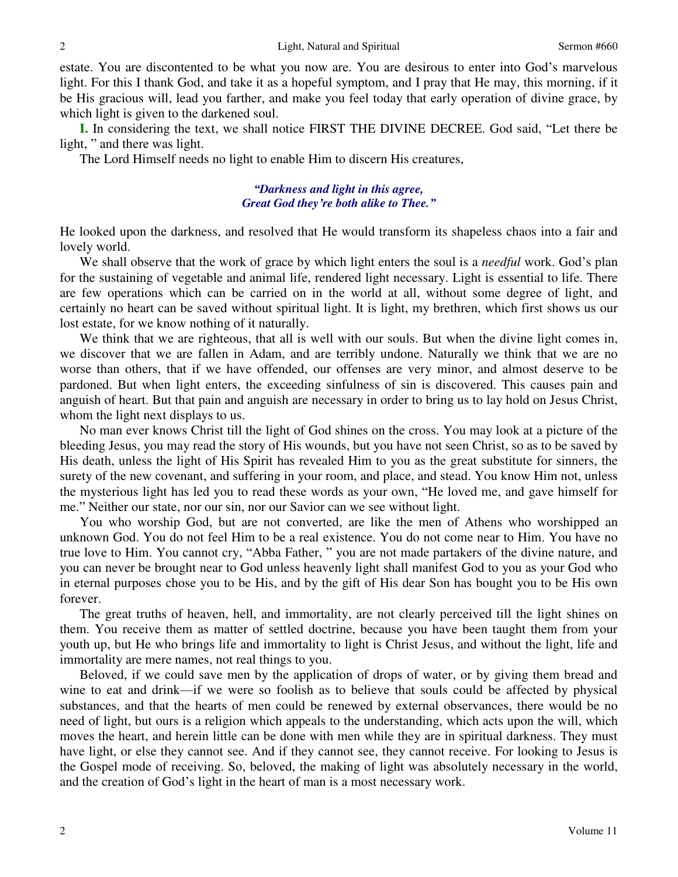estate. You are discontented to be what you now are. You are desirous to enter into God's marvelous light. For this I thank God, and take it as a hopeful symptom, and I pray that He may, this morning, if it be His gracious will, lead you farther, and make you feel today that early operation of divine grace, by which light is given to the darkened soul.

**I.** In considering the text, we shall notice FIRST THE DIVINE DECREE. God said, "Let there be light, " and there was light.

The Lord Himself needs no light to enable Him to discern His creatures,

### *"Darkness and light in this agree, Great God they're both alike to Thee."*

He looked upon the darkness, and resolved that He would transform its shapeless chaos into a fair and lovely world.

 We shall observe that the work of grace by which light enters the soul is a *needful* work. God's plan for the sustaining of vegetable and animal life, rendered light necessary. Light is essential to life. There are few operations which can be carried on in the world at all, without some degree of light, and certainly no heart can be saved without spiritual light. It is light, my brethren, which first shows us our lost estate, for we know nothing of it naturally.

We think that we are righteous, that all is well with our souls. But when the divine light comes in, we discover that we are fallen in Adam, and are terribly undone. Naturally we think that we are no worse than others, that if we have offended, our offenses are very minor, and almost deserve to be pardoned. But when light enters, the exceeding sinfulness of sin is discovered. This causes pain and anguish of heart. But that pain and anguish are necessary in order to bring us to lay hold on Jesus Christ, whom the light next displays to us.

 No man ever knows Christ till the light of God shines on the cross. You may look at a picture of the bleeding Jesus, you may read the story of His wounds, but you have not seen Christ, so as to be saved by His death, unless the light of His Spirit has revealed Him to you as the great substitute for sinners, the surety of the new covenant, and suffering in your room, and place, and stead. You know Him not, unless the mysterious light has led you to read these words as your own, "He loved me, and gave himself for me." Neither our state, nor our sin, nor our Savior can we see without light.

 You who worship God, but are not converted, are like the men of Athens who worshipped an unknown God. You do not feel Him to be a real existence. You do not come near to Him. You have no true love to Him. You cannot cry, "Abba Father, " you are not made partakers of the divine nature, and you can never be brought near to God unless heavenly light shall manifest God to you as your God who in eternal purposes chose you to be His, and by the gift of His dear Son has bought you to be His own forever.

 The great truths of heaven, hell, and immortality, are not clearly perceived till the light shines on them. You receive them as matter of settled doctrine, because you have been taught them from your youth up, but He who brings life and immortality to light is Christ Jesus, and without the light, life and immortality are mere names, not real things to you.

 Beloved, if we could save men by the application of drops of water, or by giving them bread and wine to eat and drink—if we were so foolish as to believe that souls could be affected by physical substances, and that the hearts of men could be renewed by external observances, there would be no need of light, but ours is a religion which appeals to the understanding, which acts upon the will, which moves the heart, and herein little can be done with men while they are in spiritual darkness. They must have light, or else they cannot see. And if they cannot see, they cannot receive. For looking to Jesus is the Gospel mode of receiving. So, beloved, the making of light was absolutely necessary in the world, and the creation of God's light in the heart of man is a most necessary work.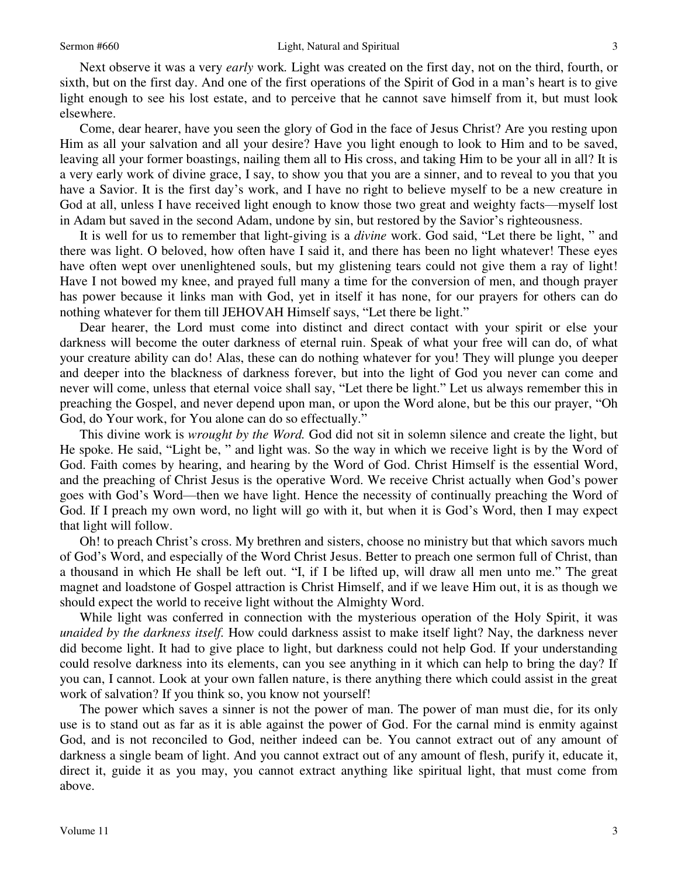Next observe it was a very *early* work*.* Light was created on the first day, not on the third, fourth, or sixth, but on the first day. And one of the first operations of the Spirit of God in a man's heart is to give light enough to see his lost estate, and to perceive that he cannot save himself from it, but must look elsewhere.

 Come, dear hearer, have you seen the glory of God in the face of Jesus Christ? Are you resting upon Him as all your salvation and all your desire? Have you light enough to look to Him and to be saved, leaving all your former boastings, nailing them all to His cross, and taking Him to be your all in all? It is a very early work of divine grace, I say, to show you that you are a sinner, and to reveal to you that you have a Savior. It is the first day's work, and I have no right to believe myself to be a new creature in God at all, unless I have received light enough to know those two great and weighty facts—myself lost in Adam but saved in the second Adam, undone by sin, but restored by the Savior's righteousness.

 It is well for us to remember that light-giving is a *divine* work. God said, "Let there be light, " and there was light. O beloved, how often have I said it, and there has been no light whatever! These eyes have often wept over unenlightened souls, but my glistening tears could not give them a ray of light! Have I not bowed my knee, and prayed full many a time for the conversion of men, and though prayer has power because it links man with God, yet in itself it has none, for our prayers for others can do nothing whatever for them till JEHOVAH Himself says, "Let there be light."

 Dear hearer, the Lord must come into distinct and direct contact with your spirit or else your darkness will become the outer darkness of eternal ruin. Speak of what your free will can do, of what your creature ability can do! Alas, these can do nothing whatever for you! They will plunge you deeper and deeper into the blackness of darkness forever, but into the light of God you never can come and never will come, unless that eternal voice shall say, "Let there be light." Let us always remember this in preaching the Gospel, and never depend upon man, or upon the Word alone, but be this our prayer, "Oh God, do Your work, for You alone can do so effectually."

 This divine work is *wrought by the Word.* God did not sit in solemn silence and create the light, but He spoke. He said, "Light be, " and light was. So the way in which we receive light is by the Word of God. Faith comes by hearing, and hearing by the Word of God. Christ Himself is the essential Word, and the preaching of Christ Jesus is the operative Word. We receive Christ actually when God's power goes with God's Word—then we have light. Hence the necessity of continually preaching the Word of God. If I preach my own word, no light will go with it, but when it is God's Word, then I may expect that light will follow.

Oh! to preach Christ's cross. My brethren and sisters, choose no ministry but that which savors much of God's Word, and especially of the Word Christ Jesus. Better to preach one sermon full of Christ, than a thousand in which He shall be left out. "I, if I be lifted up, will draw all men unto me." The great magnet and loadstone of Gospel attraction is Christ Himself, and if we leave Him out, it is as though we should expect the world to receive light without the Almighty Word.

 While light was conferred in connection with the mysterious operation of the Holy Spirit, it was *unaided by the darkness itself.* How could darkness assist to make itself light? Nay, the darkness never did become light. It had to give place to light, but darkness could not help God. If your understanding could resolve darkness into its elements, can you see anything in it which can help to bring the day? If you can, I cannot. Look at your own fallen nature, is there anything there which could assist in the great work of salvation? If you think so, you know not yourself!

 The power which saves a sinner is not the power of man. The power of man must die, for its only use is to stand out as far as it is able against the power of God. For the carnal mind is enmity against God, and is not reconciled to God, neither indeed can be. You cannot extract out of any amount of darkness a single beam of light. And you cannot extract out of any amount of flesh, purify it, educate it, direct it, guide it as you may, you cannot extract anything like spiritual light, that must come from above.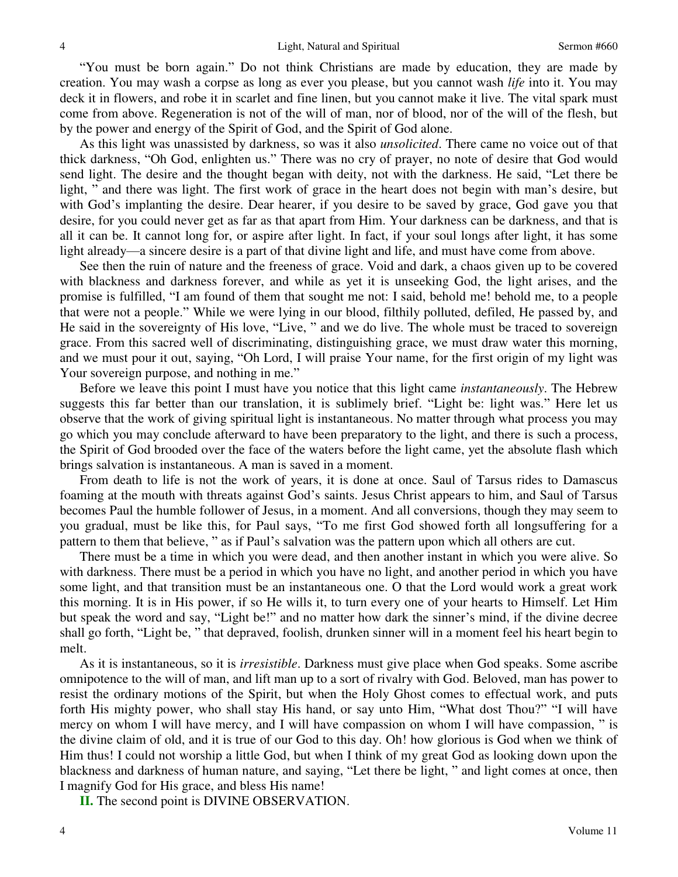"You must be born again." Do not think Christians are made by education, they are made by creation. You may wash a corpse as long as ever you please, but you cannot wash *life* into it. You may deck it in flowers, and robe it in scarlet and fine linen, but you cannot make it live. The vital spark must come from above. Regeneration is not of the will of man, nor of blood, nor of the will of the flesh, but by the power and energy of the Spirit of God, and the Spirit of God alone.

 As this light was unassisted by darkness, so was it also *unsolicited*. There came no voice out of that thick darkness, "Oh God, enlighten us." There was no cry of prayer, no note of desire that God would send light. The desire and the thought began with deity, not with the darkness. He said, "Let there be light, " and there was light. The first work of grace in the heart does not begin with man's desire, but with God's implanting the desire. Dear hearer, if you desire to be saved by grace, God gave you that desire, for you could never get as far as that apart from Him. Your darkness can be darkness, and that is all it can be. It cannot long for, or aspire after light. In fact, if your soul longs after light, it has some light already—a sincere desire is a part of that divine light and life, and must have come from above.

 See then the ruin of nature and the freeness of grace. Void and dark, a chaos given up to be covered with blackness and darkness forever, and while as yet it is unseeking God, the light arises, and the promise is fulfilled, "I am found of them that sought me not: I said, behold me! behold me, to a people that were not a people." While we were lying in our blood, filthily polluted, defiled, He passed by, and He said in the sovereignty of His love, "Live, " and we do live. The whole must be traced to sovereign grace. From this sacred well of discriminating, distinguishing grace, we must draw water this morning, and we must pour it out, saying, "Oh Lord, I will praise Your name, for the first origin of my light was Your sovereign purpose, and nothing in me."

 Before we leave this point I must have you notice that this light came *instantaneously*. The Hebrew suggests this far better than our translation, it is sublimely brief. "Light be: light was." Here let us observe that the work of giving spiritual light is instantaneous. No matter through what process you may go which you may conclude afterward to have been preparatory to the light, and there is such a process, the Spirit of God brooded over the face of the waters before the light came, yet the absolute flash which brings salvation is instantaneous. A man is saved in a moment.

 From death to life is not the work of years, it is done at once. Saul of Tarsus rides to Damascus foaming at the mouth with threats against God's saints. Jesus Christ appears to him, and Saul of Tarsus becomes Paul the humble follower of Jesus, in a moment. And all conversions, though they may seem to you gradual, must be like this, for Paul says, "To me first God showed forth all longsuffering for a pattern to them that believe, " as if Paul's salvation was the pattern upon which all others are cut.

 There must be a time in which you were dead, and then another instant in which you were alive. So with darkness. There must be a period in which you have no light, and another period in which you have some light, and that transition must be an instantaneous one. O that the Lord would work a great work this morning. It is in His power, if so He wills it, to turn every one of your hearts to Himself. Let Him but speak the word and say, "Light be!" and no matter how dark the sinner's mind, if the divine decree shall go forth, "Light be, " that depraved, foolish, drunken sinner will in a moment feel his heart begin to melt.

 As it is instantaneous, so it is *irresistible*. Darkness must give place when God speaks. Some ascribe omnipotence to the will of man, and lift man up to a sort of rivalry with God. Beloved, man has power to resist the ordinary motions of the Spirit, but when the Holy Ghost comes to effectual work, and puts forth His mighty power, who shall stay His hand, or say unto Him, "What dost Thou?" "I will have mercy on whom I will have mercy, and I will have compassion on whom I will have compassion, " is the divine claim of old, and it is true of our God to this day. Oh! how glorious is God when we think of Him thus! I could not worship a little God, but when I think of my great God as looking down upon the blackness and darkness of human nature, and saying, "Let there be light, " and light comes at once, then I magnify God for His grace, and bless His name!

**II.** The second point is DIVINE OBSERVATION.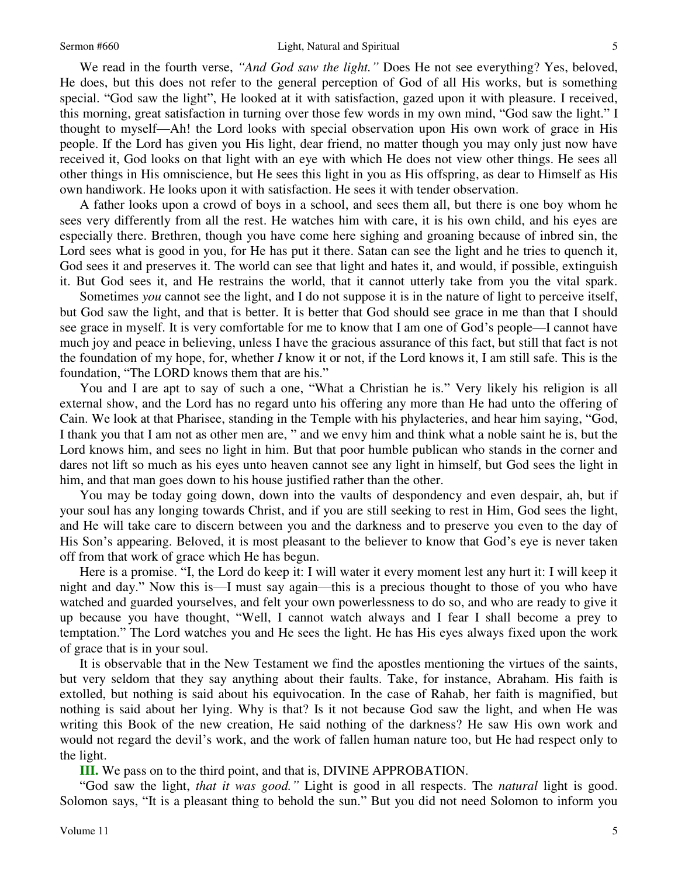We read in the fourth verse, *"And God saw the light."* Does He not see everything? Yes, beloved, He does, but this does not refer to the general perception of God of all His works, but is something special. "God saw the light", He looked at it with satisfaction, gazed upon it with pleasure. I received, this morning, great satisfaction in turning over those few words in my own mind, "God saw the light." I thought to myself—Ah! the Lord looks with special observation upon His own work of grace in His people. If the Lord has given you His light, dear friend, no matter though you may only just now have received it, God looks on that light with an eye with which He does not view other things. He sees all other things in His omniscience, but He sees this light in you as His offspring, as dear to Himself as His own handiwork. He looks upon it with satisfaction. He sees it with tender observation.

 A father looks upon a crowd of boys in a school, and sees them all, but there is one boy whom he sees very differently from all the rest. He watches him with care, it is his own child, and his eyes are especially there. Brethren, though you have come here sighing and groaning because of inbred sin, the Lord sees what is good in you, for He has put it there. Satan can see the light and he tries to quench it, God sees it and preserves it. The world can see that light and hates it, and would, if possible, extinguish it. But God sees it, and He restrains the world, that it cannot utterly take from you the vital spark.

 Sometimes *you* cannot see the light, and I do not suppose it is in the nature of light to perceive itself, but God saw the light, and that is better. It is better that God should see grace in me than that I should see grace in myself. It is very comfortable for me to know that I am one of God's people—I cannot have much joy and peace in believing, unless I have the gracious assurance of this fact, but still that fact is not the foundation of my hope, for, whether *I* know it or not, if the Lord knows it, I am still safe. This is the foundation, "The LORD knows them that are his."

 You and I are apt to say of such a one, "What a Christian he is." Very likely his religion is all external show, and the Lord has no regard unto his offering any more than He had unto the offering of Cain. We look at that Pharisee, standing in the Temple with his phylacteries, and hear him saying, "God, I thank you that I am not as other men are, " and we envy him and think what a noble saint he is, but the Lord knows him, and sees no light in him. But that poor humble publican who stands in the corner and dares not lift so much as his eyes unto heaven cannot see any light in himself, but God sees the light in him, and that man goes down to his house justified rather than the other.

 You may be today going down, down into the vaults of despondency and even despair, ah, but if your soul has any longing towards Christ, and if you are still seeking to rest in Him, God sees the light, and He will take care to discern between you and the darkness and to preserve you even to the day of His Son's appearing. Beloved, it is most pleasant to the believer to know that God's eye is never taken off from that work of grace which He has begun.

 Here is a promise. "I, the Lord do keep it: I will water it every moment lest any hurt it: I will keep it night and day." Now this is—I must say again—this is a precious thought to those of you who have watched and guarded yourselves, and felt your own powerlessness to do so, and who are ready to give it up because you have thought, "Well, I cannot watch always and I fear I shall become a prey to temptation." The Lord watches you and He sees the light. He has His eyes always fixed upon the work of grace that is in your soul.

 It is observable that in the New Testament we find the apostles mentioning the virtues of the saints, but very seldom that they say anything about their faults. Take, for instance, Abraham. His faith is extolled, but nothing is said about his equivocation. In the case of Rahab, her faith is magnified, but nothing is said about her lying. Why is that? Is it not because God saw the light, and when He was writing this Book of the new creation, He said nothing of the darkness? He saw His own work and would not regard the devil's work, and the work of fallen human nature too, but He had respect only to the light.

**III.** We pass on to the third point, and that is, DIVINE APPROBATION.

"God saw the light, *that it was good."* Light is good in all respects. The *natural* light is good. Solomon says, "It is a pleasant thing to behold the sun." But you did not need Solomon to inform you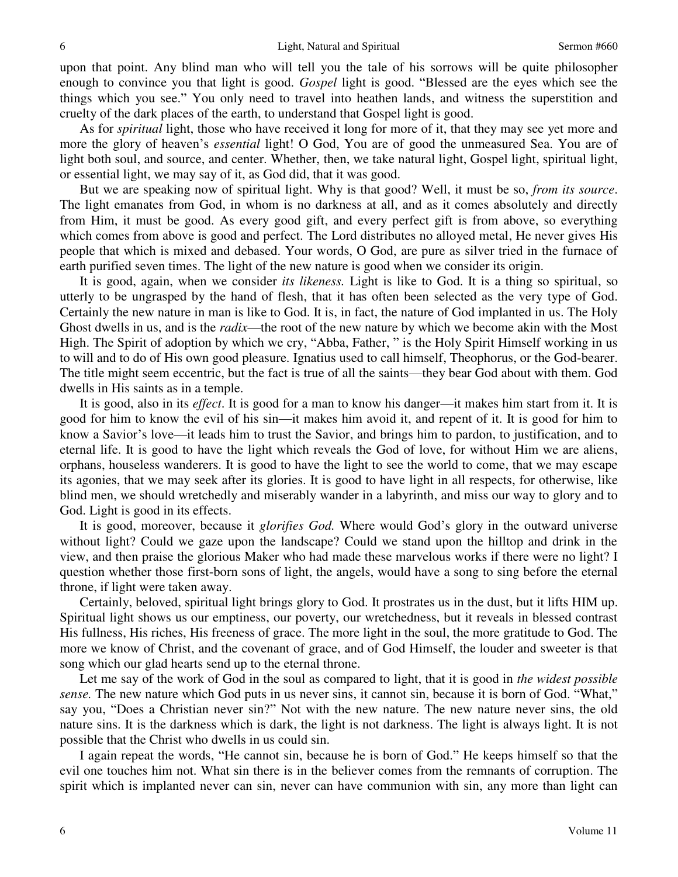upon that point. Any blind man who will tell you the tale of his sorrows will be quite philosopher enough to convince you that light is good. *Gospel* light is good. "Blessed are the eyes which see the things which you see." You only need to travel into heathen lands, and witness the superstition and cruelty of the dark places of the earth, to understand that Gospel light is good.

 As for *spiritual* light, those who have received it long for more of it, that they may see yet more and more the glory of heaven's *essential* light! O God, You are of good the unmeasured Sea. You are of light both soul, and source, and center. Whether, then, we take natural light, Gospel light, spiritual light, or essential light, we may say of it, as God did, that it was good.

 But we are speaking now of spiritual light. Why is that good? Well, it must be so, *from its source*. The light emanates from God, in whom is no darkness at all, and as it comes absolutely and directly from Him, it must be good. As every good gift, and every perfect gift is from above, so everything which comes from above is good and perfect. The Lord distributes no alloyed metal, He never gives His people that which is mixed and debased. Your words, O God, are pure as silver tried in the furnace of earth purified seven times. The light of the new nature is good when we consider its origin.

 It is good, again, when we consider *its likeness.* Light is like to God. It is a thing so spiritual, so utterly to be ungrasped by the hand of flesh, that it has often been selected as the very type of God. Certainly the new nature in man is like to God. It is, in fact, the nature of God implanted in us. The Holy Ghost dwells in us, and is the *radix*—the root of the new nature by which we become akin with the Most High. The Spirit of adoption by which we cry, "Abba, Father, " is the Holy Spirit Himself working in us to will and to do of His own good pleasure. Ignatius used to call himself, Theophorus, or the God-bearer. The title might seem eccentric, but the fact is true of all the saints—they bear God about with them. God dwells in His saints as in a temple.

 It is good, also in its *effect*. It is good for a man to know his danger—it makes him start from it. It is good for him to know the evil of his sin—it makes him avoid it, and repent of it. It is good for him to know a Savior's love—it leads him to trust the Savior, and brings him to pardon, to justification, and to eternal life. It is good to have the light which reveals the God of love, for without Him we are aliens, orphans, houseless wanderers. It is good to have the light to see the world to come, that we may escape its agonies, that we may seek after its glories. It is good to have light in all respects, for otherwise, like blind men, we should wretchedly and miserably wander in a labyrinth, and miss our way to glory and to God. Light is good in its effects.

 It is good, moreover, because it *glorifies God.* Where would God's glory in the outward universe without light? Could we gaze upon the landscape? Could we stand upon the hilltop and drink in the view, and then praise the glorious Maker who had made these marvelous works if there were no light? I question whether those first-born sons of light, the angels, would have a song to sing before the eternal throne, if light were taken away.

Certainly, beloved, spiritual light brings glory to God. It prostrates us in the dust, but it lifts HIM up. Spiritual light shows us our emptiness, our poverty, our wretchedness, but it reveals in blessed contrast His fullness, His riches, His freeness of grace. The more light in the soul, the more gratitude to God. The more we know of Christ, and the covenant of grace, and of God Himself, the louder and sweeter is that song which our glad hearts send up to the eternal throne.

 Let me say of the work of God in the soul as compared to light, that it is good in *the widest possible sense.* The new nature which God puts in us never sins, it cannot sin, because it is born of God. "What," say you, "Does a Christian never sin?" Not with the new nature. The new nature never sins, the old nature sins. It is the darkness which is dark, the light is not darkness. The light is always light. It is not possible that the Christ who dwells in us could sin.

 I again repeat the words, "He cannot sin, because he is born of God." He keeps himself so that the evil one touches him not. What sin there is in the believer comes from the remnants of corruption. The spirit which is implanted never can sin, never can have communion with sin, any more than light can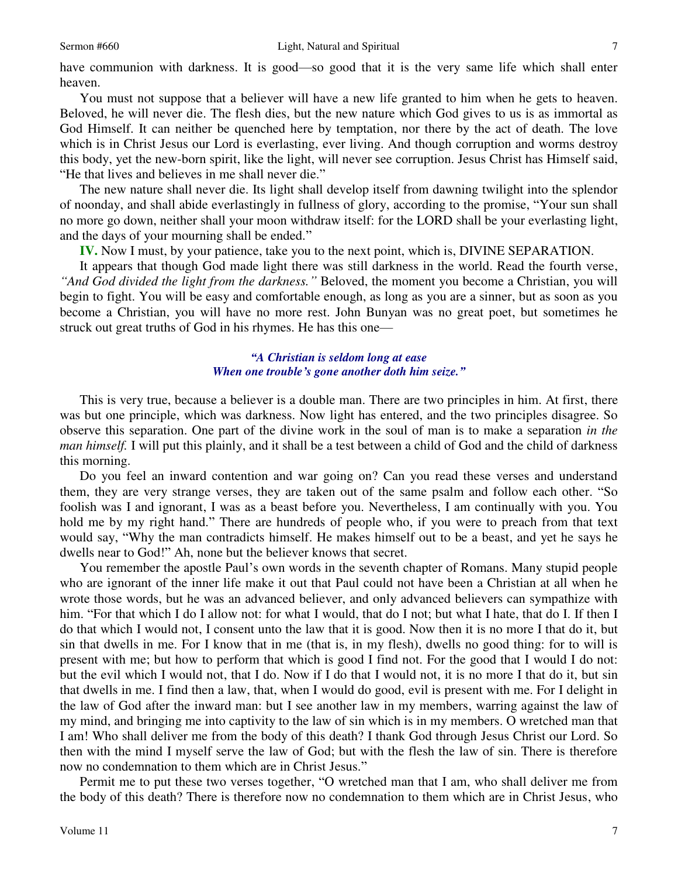have communion with darkness. It is good—so good that it is the very same life which shall enter heaven.

 You must not suppose that a believer will have a new life granted to him when he gets to heaven. Beloved, he will never die. The flesh dies, but the new nature which God gives to us is as immortal as God Himself. It can neither be quenched here by temptation, nor there by the act of death. The love which is in Christ Jesus our Lord is everlasting, ever living. And though corruption and worms destroy this body, yet the new-born spirit, like the light, will never see corruption. Jesus Christ has Himself said, "He that lives and believes in me shall never die."

 The new nature shall never die. Its light shall develop itself from dawning twilight into the splendor of noonday, and shall abide everlastingly in fullness of glory, according to the promise, "Your sun shall no more go down, neither shall your moon withdraw itself: for the LORD shall be your everlasting light, and the days of your mourning shall be ended."

**IV.** Now I must, by your patience, take you to the next point, which is, DIVINE SEPARATION.

 It appears that though God made light there was still darkness in the world. Read the fourth verse, *"And God divided the light from the darkness."* Beloved, the moment you become a Christian, you will begin to fight. You will be easy and comfortable enough, as long as you are a sinner, but as soon as you become a Christian, you will have no more rest. John Bunyan was no great poet, but sometimes he struck out great truths of God in his rhymes. He has this one—

#### *"A Christian is seldom long at ease When one trouble's gone another doth him seize."*

 This is very true, because a believer is a double man. There are two principles in him. At first, there was but one principle, which was darkness. Now light has entered, and the two principles disagree. So observe this separation. One part of the divine work in the soul of man is to make a separation *in the man himself.* I will put this plainly, and it shall be a test between a child of God and the child of darkness this morning.

 Do you feel an inward contention and war going on? Can you read these verses and understand them, they are very strange verses, they are taken out of the same psalm and follow each other. "So foolish was I and ignorant, I was as a beast before you. Nevertheless, I am continually with you. You hold me by my right hand." There are hundreds of people who, if you were to preach from that text would say, "Why the man contradicts himself. He makes himself out to be a beast, and yet he says he dwells near to God!" Ah, none but the believer knows that secret.

 You remember the apostle Paul's own words in the seventh chapter of Romans. Many stupid people who are ignorant of the inner life make it out that Paul could not have been a Christian at all when he wrote those words, but he was an advanced believer, and only advanced believers can sympathize with him. "For that which I do I allow not: for what I would, that do I not; but what I hate, that do I. If then I do that which I would not, I consent unto the law that it is good. Now then it is no more I that do it, but sin that dwells in me. For I know that in me (that is, in my flesh), dwells no good thing: for to will is present with me; but how to perform that which is good I find not. For the good that I would I do not: but the evil which I would not, that I do. Now if I do that I would not, it is no more I that do it, but sin that dwells in me. I find then a law, that, when I would do good, evil is present with me. For I delight in the law of God after the inward man: but I see another law in my members, warring against the law of my mind, and bringing me into captivity to the law of sin which is in my members. O wretched man that I am! Who shall deliver me from the body of this death? I thank God through Jesus Christ our Lord. So then with the mind I myself serve the law of God; but with the flesh the law of sin. There is therefore now no condemnation to them which are in Christ Jesus."

 Permit me to put these two verses together, "O wretched man that I am, who shall deliver me from the body of this death? There is therefore now no condemnation to them which are in Christ Jesus, who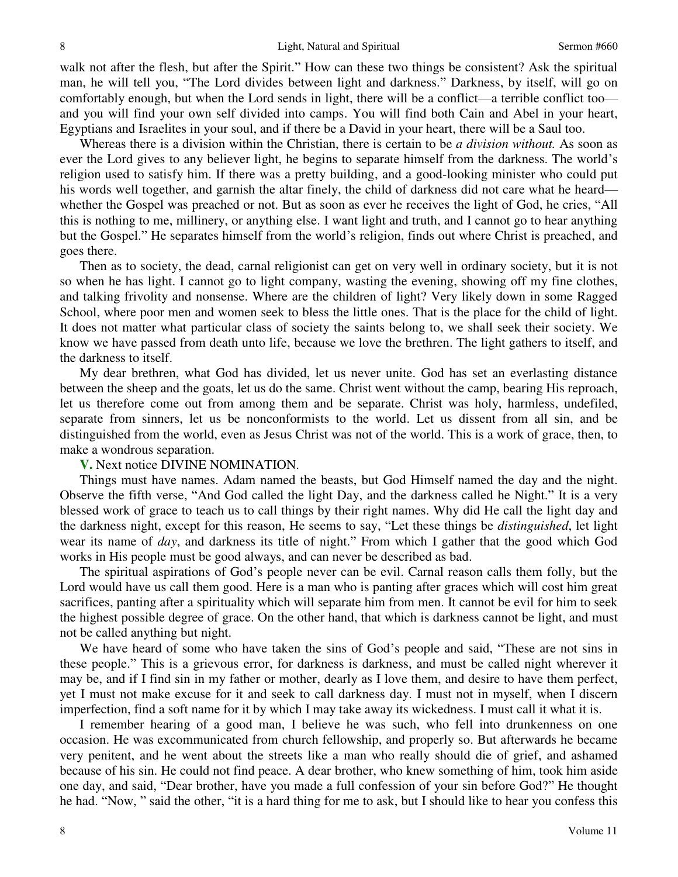walk not after the flesh, but after the Spirit." How can these two things be consistent? Ask the spiritual man, he will tell you, "The Lord divides between light and darkness." Darkness, by itself, will go on comfortably enough, but when the Lord sends in light, there will be a conflict—a terrible conflict too and you will find your own self divided into camps. You will find both Cain and Abel in your heart, Egyptians and Israelites in your soul, and if there be a David in your heart, there will be a Saul too.

 Whereas there is a division within the Christian, there is certain to be *a division without.* As soon as ever the Lord gives to any believer light, he begins to separate himself from the darkness. The world's religion used to satisfy him. If there was a pretty building, and a good-looking minister who could put his words well together, and garnish the altar finely, the child of darkness did not care what he heard whether the Gospel was preached or not. But as soon as ever he receives the light of God, he cries, "All this is nothing to me, millinery, or anything else. I want light and truth, and I cannot go to hear anything but the Gospel." He separates himself from the world's religion, finds out where Christ is preached, and goes there.

 Then as to society, the dead, carnal religionist can get on very well in ordinary society, but it is not so when he has light. I cannot go to light company, wasting the evening, showing off my fine clothes, and talking frivolity and nonsense. Where are the children of light? Very likely down in some Ragged School, where poor men and women seek to bless the little ones. That is the place for the child of light. It does not matter what particular class of society the saints belong to, we shall seek their society. We know we have passed from death unto life, because we love the brethren. The light gathers to itself, and the darkness to itself.

 My dear brethren, what God has divided, let us never unite. God has set an everlasting distance between the sheep and the goats, let us do the same. Christ went without the camp, bearing His reproach, let us therefore come out from among them and be separate. Christ was holy, harmless, undefiled, separate from sinners, let us be nonconformists to the world. Let us dissent from all sin, and be distinguished from the world, even as Jesus Christ was not of the world. This is a work of grace, then, to make a wondrous separation.

#### **V.** Next notice DIVINE NOMINATION.

 Things must have names. Adam named the beasts, but God Himself named the day and the night. Observe the fifth verse, "And God called the light Day, and the darkness called he Night." It is a very blessed work of grace to teach us to call things by their right names. Why did He call the light day and the darkness night, except for this reason, He seems to say, "Let these things be *distinguished*, let light wear its name of *day*, and darkness its title of night." From which I gather that the good which God works in His people must be good always, and can never be described as bad.

 The spiritual aspirations of God's people never can be evil. Carnal reason calls them folly, but the Lord would have us call them good. Here is a man who is panting after graces which will cost him great sacrifices, panting after a spirituality which will separate him from men. It cannot be evil for him to seek the highest possible degree of grace. On the other hand, that which is darkness cannot be light, and must not be called anything but night.

 We have heard of some who have taken the sins of God's people and said, "These are not sins in these people." This is a grievous error, for darkness is darkness, and must be called night wherever it may be, and if I find sin in my father or mother, dearly as I love them, and desire to have them perfect, yet I must not make excuse for it and seek to call darkness day. I must not in myself, when I discern imperfection, find a soft name for it by which I may take away its wickedness. I must call it what it is.

 I remember hearing of a good man, I believe he was such, who fell into drunkenness on one occasion. He was excommunicated from church fellowship, and properly so. But afterwards he became very penitent, and he went about the streets like a man who really should die of grief, and ashamed because of his sin. He could not find peace. A dear brother, who knew something of him, took him aside one day, and said, "Dear brother, have you made a full confession of your sin before God?" He thought he had. "Now, " said the other, "it is a hard thing for me to ask, but I should like to hear you confess this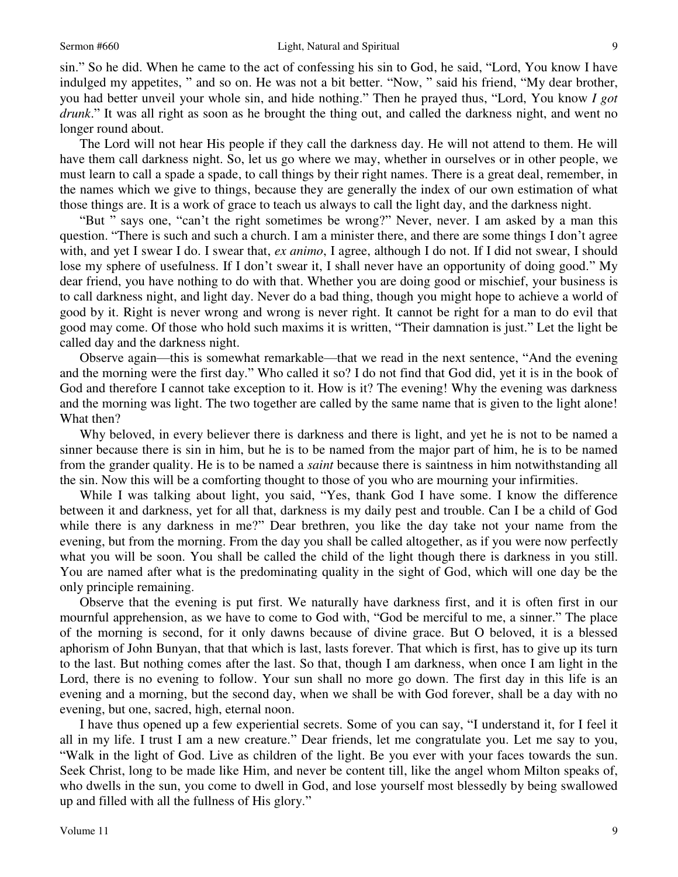sin." So he did. When he came to the act of confessing his sin to God, he said, "Lord, You know I have indulged my appetites, " and so on. He was not a bit better. "Now, " said his friend, "My dear brother, you had better unveil your whole sin, and hide nothing." Then he prayed thus, "Lord, You know *I got drunk*." It was all right as soon as he brought the thing out, and called the darkness night, and went no longer round about.

 The Lord will not hear His people if they call the darkness day. He will not attend to them. He will have them call darkness night. So, let us go where we may, whether in ourselves or in other people, we must learn to call a spade a spade, to call things by their right names. There is a great deal, remember, in the names which we give to things, because they are generally the index of our own estimation of what those things are. It is a work of grace to teach us always to call the light day, and the darkness night.

"But " says one, "can't the right sometimes be wrong?" Never, never. I am asked by a man this question. "There is such and such a church. I am a minister there, and there are some things I don't agree with, and yet I swear I do. I swear that, *ex animo*, I agree, although I do not. If I did not swear, I should lose my sphere of usefulness. If I don't swear it, I shall never have an opportunity of doing good." My dear friend, you have nothing to do with that. Whether you are doing good or mischief, your business is to call darkness night, and light day. Never do a bad thing, though you might hope to achieve a world of good by it. Right is never wrong and wrong is never right. It cannot be right for a man to do evil that good may come. Of those who hold such maxims it is written, "Their damnation is just." Let the light be called day and the darkness night.

 Observe again—this is somewhat remarkable—that we read in the next sentence, "And the evening and the morning were the first day." Who called it so? I do not find that God did, yet it is in the book of God and therefore I cannot take exception to it. How is it? The evening! Why the evening was darkness and the morning was light. The two together are called by the same name that is given to the light alone! What then?

 Why beloved, in every believer there is darkness and there is light, and yet he is not to be named a sinner because there is sin in him, but he is to be named from the major part of him, he is to be named from the grander quality. He is to be named a *saint* because there is saintness in him notwithstanding all the sin. Now this will be a comforting thought to those of you who are mourning your infirmities.

 While I was talking about light, you said, "Yes, thank God I have some. I know the difference between it and darkness, yet for all that, darkness is my daily pest and trouble. Can I be a child of God while there is any darkness in me?" Dear brethren, you like the day take not your name from the evening, but from the morning. From the day you shall be called altogether, as if you were now perfectly what you will be soon. You shall be called the child of the light though there is darkness in you still. You are named after what is the predominating quality in the sight of God, which will one day be the only principle remaining.

 Observe that the evening is put first. We naturally have darkness first, and it is often first in our mournful apprehension, as we have to come to God with, "God be merciful to me, a sinner." The place of the morning is second, for it only dawns because of divine grace. But O beloved, it is a blessed aphorism of John Bunyan, that that which is last, lasts forever. That which is first, has to give up its turn to the last. But nothing comes after the last. So that, though I am darkness, when once I am light in the Lord, there is no evening to follow. Your sun shall no more go down. The first day in this life is an evening and a morning, but the second day, when we shall be with God forever, shall be a day with no evening, but one, sacred, high, eternal noon.

 I have thus opened up a few experiential secrets. Some of you can say, "I understand it, for I feel it all in my life. I trust I am a new creature." Dear friends, let me congratulate you. Let me say to you, "Walk in the light of God. Live as children of the light. Be you ever with your faces towards the sun. Seek Christ, long to be made like Him, and never be content till, like the angel whom Milton speaks of, who dwells in the sun, you come to dwell in God, and lose yourself most blessedly by being swallowed up and filled with all the fullness of His glory."